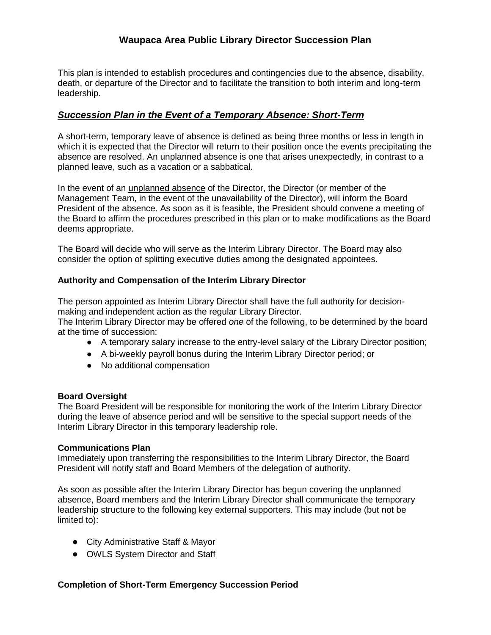# **Waupaca Area Public Library Director Succession Plan**

This plan is intended to establish procedures and contingencies due to the absence, disability, death, or departure of the Director and to facilitate the transition to both interim and long-term leadership.

## *Succession Plan in the Event of a Temporary Absence: Short-Term*

A short-term, temporary leave of absence is defined as being three months or less in length in which it is expected that the Director will return to their position once the events precipitating the absence are resolved. An unplanned absence is one that arises unexpectedly, in contrast to a planned leave, such as a vacation or a sabbatical.

In the event of an unplanned absence of the Director, the Director (or member of the Management Team, in the event of the unavailability of the Director), will inform the Board President of the absence. As soon as it is feasible, the President should convene a meeting of the Board to affirm the procedures prescribed in this plan or to make modifications as the Board deems appropriate.

The Board will decide who will serve as the Interim Library Director. The Board may also consider the option of splitting executive duties among the designated appointees.

### **Authority and Compensation of the Interim Library Director**

The person appointed as Interim Library Director shall have the full authority for decisionmaking and independent action as the regular Library Director.

The Interim Library Director may be offered *one* of the following, to be determined by the board at the time of succession:

- A temporary salary increase to the entry-level salary of the Library Director position;
- A bi-weekly payroll bonus during the Interim Library Director period; or
- No additional compensation

### **Board Oversight**

The Board President will be responsible for monitoring the work of the Interim Library Director during the leave of absence period and will be sensitive to the special support needs of the Interim Library Director in this temporary leadership role.

### **Communications Plan**

Immediately upon transferring the responsibilities to the Interim Library Director, the Board President will notify staff and Board Members of the delegation of authority.

As soon as possible after the Interim Library Director has begun covering the unplanned absence, Board members and the Interim Library Director shall communicate the temporary leadership structure to the following key external supporters. This may include (but not be limited to):

- City Administrative Staff & Mayor
- OWLS System Director and Staff

### **Completion of Short-Term Emergency Succession Period**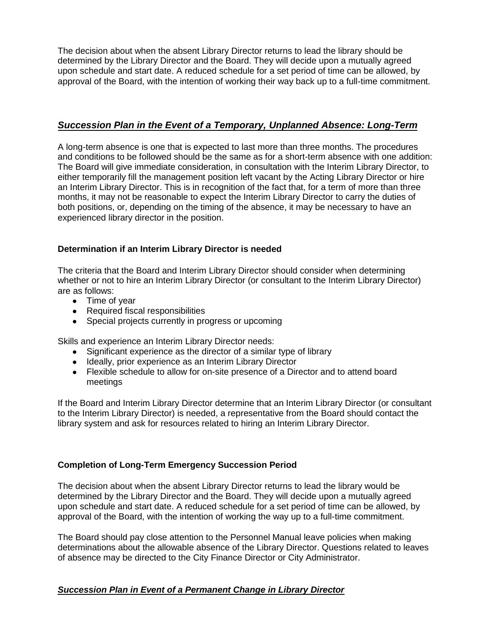The decision about when the absent Library Director returns to lead the library should be determined by the Library Director and the Board. They will decide upon a mutually agreed upon schedule and start date. A reduced schedule for a set period of time can be allowed, by approval of the Board, with the intention of working their way back up to a full-time commitment.

# *Succession Plan in the Event of a Temporary, Unplanned Absence: Long-Term*

A long-term absence is one that is expected to last more than three months. The procedures and conditions to be followed should be the same as for a short-term absence with one addition: The Board will give immediate consideration, in consultation with the Interim Library Director, to either temporarily fill the management position left vacant by the Acting Library Director or hire an Interim Library Director. This is in recognition of the fact that, for a term of more than three months, it may not be reasonable to expect the Interim Library Director to carry the duties of both positions, or, depending on the timing of the absence, it may be necessary to have an experienced library director in the position.

## **Determination if an Interim Library Director is needed**

The criteria that the Board and Interim Library Director should consider when determining whether or not to hire an Interim Library Director (or consultant to the Interim Library Director) are as follows:

- Time of year
- Required fiscal responsibilities
- Special projects currently in progress or upcoming

Skills and experience an Interim Library Director needs:

- Significant experience as the director of a similar type of library
- Ideally, prior experience as an Interim Library Director
- Flexible schedule to allow for on-site presence of a Director and to attend board meetings

If the Board and Interim Library Director determine that an Interim Library Director (or consultant to the Interim Library Director) is needed, a representative from the Board should contact the library system and ask for resources related to hiring an Interim Library Director.

## **Completion of Long-Term Emergency Succession Period**

The decision about when the absent Library Director returns to lead the library would be determined by the Library Director and the Board. They will decide upon a mutually agreed upon schedule and start date. A reduced schedule for a set period of time can be allowed, by approval of the Board, with the intention of working the way up to a full-time commitment.

The Board should pay close attention to the Personnel Manual leave policies when making determinations about the allowable absence of the Library Director. Questions related to leaves of absence may be directed to the City Finance Director or City Administrator.

## *Succession Plan in Event of a Permanent Change in Library Director*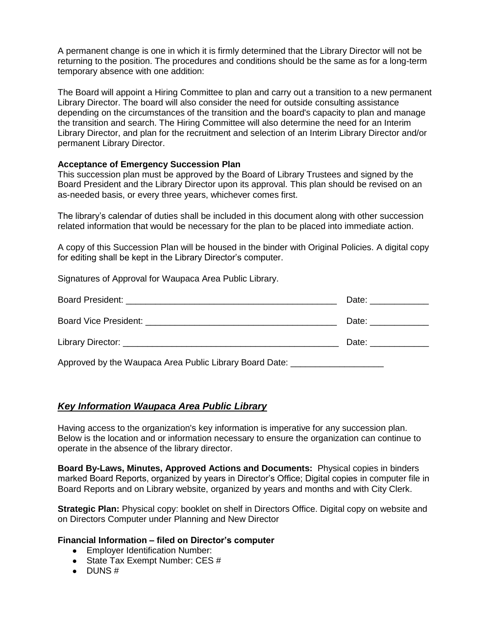A permanent change is one in which it is firmly determined that the Library Director will not be returning to the position. The procedures and conditions should be the same as for a long-term temporary absence with one addition:

The Board will appoint a Hiring Committee to plan and carry out a transition to a new permanent Library Director. The board will also consider the need for outside consulting assistance depending on the circumstances of the transition and the board's capacity to plan and manage the transition and search. The Hiring Committee will also determine the need for an Interim Library Director, and plan for the recruitment and selection of an Interim Library Director and/or permanent Library Director.

### **Acceptance of Emergency Succession Plan**

This succession plan must be approved by the Board of Library Trustees and signed by the Board President and the Library Director upon its approval. This plan should be revised on an as-needed basis, or every three years, whichever comes first.

The library's calendar of duties shall be included in this document along with other succession related information that would be necessary for the plan to be placed into immediate action.

A copy of this Succession Plan will be housed in the binder with Original Policies. A digital copy for editing shall be kept in the Library Director's computer.

Signatures of Approval for Waupaca Area Public Library.

|                                                         | Date: ___________                                                                                                                                                                                                              |
|---------------------------------------------------------|--------------------------------------------------------------------------------------------------------------------------------------------------------------------------------------------------------------------------------|
|                                                         | Date: the contract of the contract of the contract of the contract of the contract of the contract of the contract of the contract of the contract of the contract of the contract of the contract of the contract of the cont |
| Library Director: <b>Example 2018</b>                   | Date: the contract of the contract of the contract of the contract of the contract of the contract of the contract of the contract of the contract of the contract of the contract of the contract of the contract of the cont |
| Approved by the Waupaca Area Public Library Board Date: |                                                                                                                                                                                                                                |

## *Key Information Waupaca Area Public Library*

Having access to the organization's key information is imperative for any succession plan. Below is the location and or information necessary to ensure the organization can continue to operate in the absence of the library director.

**Board By-Laws, Minutes, Approved Actions and Documents:** Physical copies in binders marked Board Reports, organized by years in Director's Office; Digital copies in computer file in Board Reports and on Library website, organized by years and months and with City Clerk.

**Strategic Plan:** Physical copy: booklet on shelf in Directors Office. Digital copy on website and on Directors Computer under Planning and New Director

### **Financial Information – filed on Director's computer**

- Employer Identification Number:
- State Tax Exempt Number:  $CES #$
- $\bullet$  DUNS#